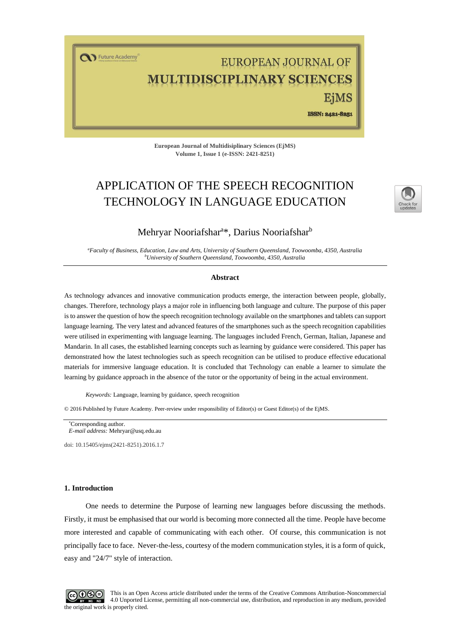T Future Academy

# EUROPEAN JOURNAL OF ULTIDISCIPLINARY SCIENCES EiMS

ISSN: 2421-8251

**European Journal of Multidisiplinary Sciences (EjMS) Volume 1, Issue 1 (e-ISSN: 2421-8251)**

## APPLICATION OF THE SPEECH RECOGNITION TECHNOLOGY IN LANGUAGE EDUCATION



## Mehryar Nooriafshar<sup>a\*</sup>, Darius Nooriafshar<sup>b</sup>

*<sup>a</sup>Faculty of Business, Education, Law and Arts, University of Southern Queensland, Toowoomba, 4350, Australia <sup>b</sup>University of Southern Queensland, Toowoomba, 4350, Australia*

#### **Abstract**

As technology advances and innovative communication products emerge, the interaction between people, globally, changes. Therefore, technology plays a major role in influencing both language and culture. The purpose of this paper is to answer the question of how the speech recognition technology available on the smartphones and tablets can support language learning. The very latest and advanced features of the smartphones such as the speech recognition capabilities were utilised in experimenting with language learning. The languages included French, German, Italian, Japanese and Mandarin. In all cases, the established learning concepts such as learning by guidance were considered. This paper has demonstrated how the latest technologies such as speech recognition can be utilised to produce effective educational materials for immersive language education. It is concluded that Technology can enable a learner to simulate the learning by guidance approach in the absence of the tutor or the opportunity of being in the actual environment.

*Keywords:* Language, learning by guidance, speech recognition

© 2016 Published by Future Academy. Peer-review under responsibility of Editor(s) or Guest Editor(s) of the EjMS.

doi[: 10.15405/ejms\(2421-8251\).2016.1.7](https://doi.org/10.15405/ejms(2421-8251).2016.1.7)

#### **1. Introduction**

One needs to determine the Purpose of learning new languages before discussing the methods. Firstly, it must be emphasised that our world is becoming more connected all the time. People have become more interested and capable of communicating with each other. Of course, this communication is not principally face to face. Never-the-less, courtesy of the modern communication styles, it is a form of quick, easy and "24/7" style of interaction.



This is an Open Access article distributed under the terms of the Creative Commons Attribution-Noncommercial 4.0 Unported License, permitting all non-commercial use, distribution, and reproduction in any medium, provided the original work is properly cited.

Corresponding author. *E-mail address:* [Mehryar@usq.edu.au](mailto:Mehryar@usq.edu.au)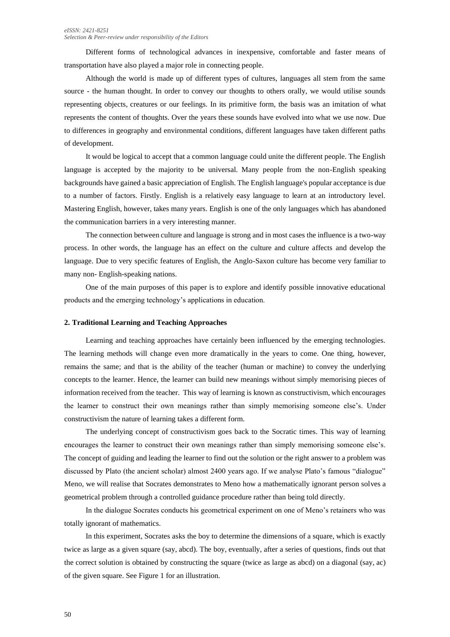Different forms of technological advances in inexpensive, comfortable and faster means of transportation have also played a major role in connecting people.

Although the world is made up of different types of cultures, languages all stem from the same source - the human thought. In order to convey our thoughts to others orally, we would utilise sounds representing objects, creatures or our feelings. In its primitive form, the basis was an imitation of what represents the content of thoughts. Over the years these sounds have evolved into what we use now. Due to differences in geography and environmental conditions, different languages have taken different paths of development.

It would be logical to accept that a common language could unite the different people. The English language is accepted by the majority to be universal. Many people from the non-English speaking backgrounds have gained a basic appreciation of English. The English language's popular acceptance is due to a number of factors. Firstly. English is a relatively easy language to learn at an introductory level. Mastering English, however, takes many years. English is one of the only languages which has abandoned the communication barriers in a very interesting manner.

The connection between culture and language is strong and in most cases the influence is a two-way process. In other words, the language has an effect on the culture and culture affects and develop the language. Due to very specific features of English, the Anglo-Saxon culture has become very familiar to many non- English-speaking nations.

One of the main purposes of this paper is to explore and identify possible innovative educational products and the emerging technology's applications in education.

#### **2. Traditional Learning and Teaching Approaches**

Learning and teaching approaches have certainly been influenced by the emerging technologies. The learning methods will change even more dramatically in the years to come. One thing, however, remains the same; and that is the ability of the teacher (human or machine) to convey the underlying concepts to the learner. Hence, the learner can build new meanings without simply memorising pieces of information received from the teacher. This way of learning is known as constructivism, which encourages the learner to construct their own meanings rather than simply memorising someone else's. Under constructivism the nature of learning takes a different form.

The underlying concept of constructivism goes back to the Socratic times. This way of learning encourages the learner to construct their own meanings rather than simply memorising someone else's. The concept of guiding and leading the learner to find out the solution or the right answer to a problem was discussed by Plato (the ancient scholar) almost 2400 years ago. If we analyse Plato's famous "dialogue" Meno, we will realise that Socrates demonstrates to Meno how a mathematically ignorant person solves a geometrical problem through a controlled guidance procedure rather than being told directly.

In the dialogue Socrates conducts his geometrical experiment on one of Meno's retainers who was totally ignorant of mathematics.

In this experiment, Socrates asks the boy to determine the dimensions of a square, which is exactly twice as large as a given square (say, abcd). The boy, eventually, after a series of questions, finds out that the correct solution is obtained by constructing the square (twice as large as abcd) on a diagonal (say, ac) of the given square. See Figure 1 for an illustration.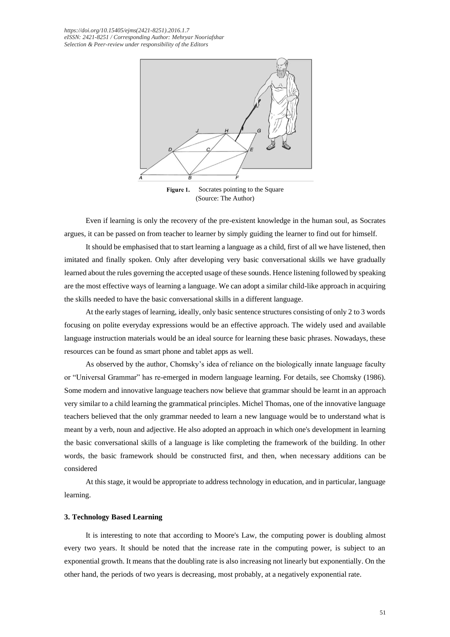*[https://doi.org/1](https://doi.org/)0.15405/ejms(2421-8251).2016.1.7 eISSN: 2421-8251 / Corresponding Author: Mehryar Nooriafshar Selection & Peer-review under responsibility of the Editors*



Figure 1. Socrates pointing to the Square (Source: The Author)

Even if learning is only the recovery of the pre-existent knowledge in the human soul, as Socrates argues, it can be passed on from teacher to learner by simply guiding the learner to find out for himself.

It should be emphasised that to start learning a language as a child, first of all we have listened, then imitated and finally spoken. Only after developing very basic conversational skills we have gradually learned about the rules governing the accepted usage of these sounds. Hence listening followed by speaking are the most effective ways of learning a language. We can adopt a similar child-like approach in acquiring the skills needed to have the basic conversational skills in a different language.

At the early stages of learning, ideally, only basic sentence structures consisting of only 2 to 3 words focusing on polite everyday expressions would be an effective approach. The widely used and available language instruction materials would be an ideal source for learning these basic phrases. Nowadays, these resources can be found as smart phone and tablet apps as well.

As observed by the author, Chomsky's idea of reliance on the biologically innate language faculty or "Universal Grammar" has re-emerged in modern language learning. For details, see Chomsky (1986). Some modern and innovative language teachers now believe that grammar should be learnt in an approach very similar to a child learning the grammatical principles. Michel Thomas, one of the innovative language teachers believed that the only grammar needed to learn a new language would be to understand what is meant by a verb, noun and adjective. He also adopted an approach in which one's development in learning the basic conversational skills of a language is like completing the framework of the building. In other words, the basic framework should be constructed first, and then, when necessary additions can be considered

At this stage, it would be appropriate to address technology in education, and in particular, language learning.

## **3. Technology Based Learning**

It is interesting to note that according to Moore's Law, the computing power is doubling almost every two years. It should be noted that the increase rate in the computing power, is subject to an exponential growth. It means that the doubling rate is also increasing not linearly but exponentially. On the other hand, the periods of two years is decreasing, most probably, at a negatively exponential rate.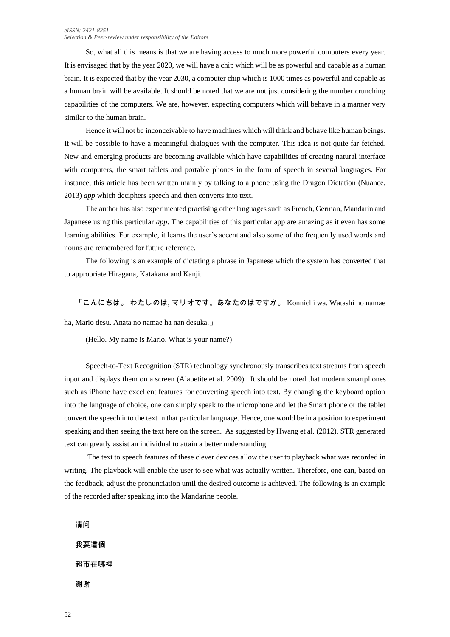#### *eISSN: 2421-8251 Selection & Peer-review under responsibility of the Editors*

So, what all this means is that we are having access to much more powerful computers every year. It is envisaged that by the year 2020, we will have a chip which will be as powerful and capable as a human brain. It is expected that by the year 2030, a computer chip which is 1000 times as powerful and capable as a human brain will be available. It should be noted that we are not just considering the number crunching capabilities of the computers. We are, however, expecting computers which will behave in a manner very similar to the human brain.

Hence it will not be inconceivable to have machines which will think and behave like human beings. It will be possible to have a meaningful dialogues with the computer. This idea is not quite far-fetched. New and emerging products are becoming available which have capabilities of creating natural interface with computers, the smart tablets and portable phones in the form of speech in several languages. For instance, this article has been written mainly by talking to a phone using the Dragon Dictation (Nuance, 2013) *app* which deciphers speech and then converts into text.

The author has also experimented practising other languages such as French, German, Mandarin and Japanese using this particular *app*. The capabilities of this particular app are amazing as it even has some learning abilities. For example, it learns the user's accent and also some of the frequently used words and nouns are remembered for future reference.

The following is an example of dictating a phrase in Japanese which the system has converted that to appropriate Hiragana, Katakana and Kanji.

「こんにちは。 わたしのは, マリオです。あなたのはですか。 Konnichi wa. Watashi no namae

ha, Mario desu. Anata no namae ha nan desuka.」

(Hello. My name is Mario. What is your name?)

Speech-to-Text Recognition (STR) technology synchronously transcribes text streams from speech input and displays them on a screen (Alapetite et al. 2009). It should be noted that modern smartphones such as iPhone have excellent features for converting speech into text. By changing the keyboard option into the language of choice, one can simply speak to the microphone and let the Smart phone or the tablet convert the speech into the text in that particular language. Hence, one would be in a position to experiment speaking and then seeing the text here on the screen. As suggested by Hwang et al. (2012), STR generated text can greatly assist an individual to attain a better understanding.

The text to speech features of these clever devices allow the user to playback what was recorded in writing. The playback will enable the user to see what was actually written. Therefore, one can, based on the feedback, adjust the pronunciation until the desired outcome is achieved. The following is an example of the recorded after speaking into the Mandarine people.

请问

我要這個 超市在哪裡 谢谢